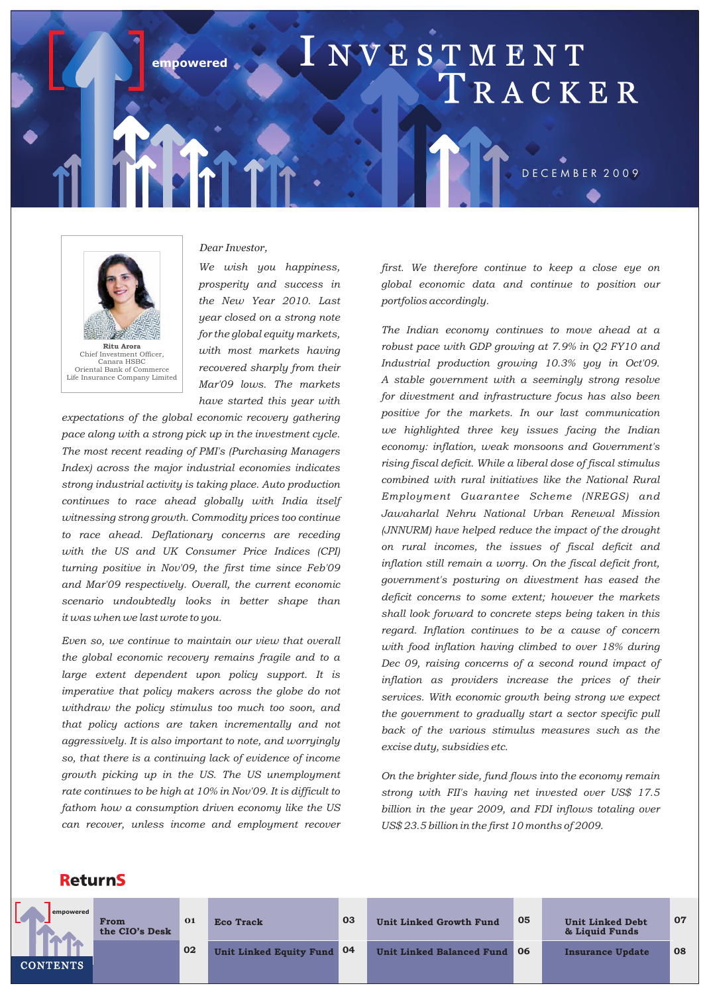# empowered **I NVE STMENT** T R A C K E R D E C E M B E R 2 0 0 9



### *Dear Investor,*

*We wish you happiness, prosperity and success in the New Year 2010. Last year closed on a strong note for the global equity markets, with most markets having recovered sharply from their Mar'09 lows. The markets have started this year with* 

*expectations of the global economic recovery gathering pace along with a strong pick up in the investment cycle. The most recent reading of PMI's (Purchasing Managers Index) across the major industrial economies indicates strong industrial activity is taking place. Auto production continues to race ahead globally with India itself witnessing strong growth. Commodity prices too continue to race ahead. Deflationary concerns are receding with the US and UK Consumer Price Indices (CPI) turning positive in Nov'09, the first time since Feb'09 and Mar'09 respectively. Overall, the current economic scenario undoubtedly looks in better shape than it was when we last wrote to you.*

*Even so, we continue to maintain our view that overall the global economic recovery remains fragile and to a large extent dependent upon policy support. It is imperative that policy makers across the globe do not withdraw the policy stimulus too much too soon, and that policy actions are taken incrementally and not aggressively. It is also important to note, and worryingly so, that there is a continuing lack of evidence of income growth picking up in the US. The US unemployment rate continues to be high at 10% in Nov'09. It is difficult to fathom how a consumption driven economy like the US can recover, unless income and employment recover*  *first. We therefore continue to keep a close eye on global economic data and continue to position our portfolios accordingly.*

*The Indian economy continues to move ahead at a robust pace with GDP growing at 7.9% in Q2 FY10 and Industrial production growing 10.3% yoy in Oct'09. A stable government with a seemingly strong resolve for divestment and infrastructure focus has also been positive for the markets. In our last communication we highlighted three key issues facing the Indian economy: inflation, weak monsoons and Government's rising fiscal deficit. While a liberal dose of fiscal stimulus combined with rural initiatives like the National Rural Employment Guarantee Scheme (NREGS) and Jawaharlal Nehru National Urban Renewal Mission (JNNURM) have helped reduce the impact of the drought on rural incomes, the issues of fiscal deficit and inflation still remain a worry. On the fiscal deficit front, government's posturing on divestment has eased the deficit concerns to some extent; however the markets shall look forward to concrete steps being taken in this regard. Inflation continues to be a cause of concern with food inflation having climbed to over 18% during Dec 09, raising concerns of a second round impact of inflation as providers increase the prices of their services. With economic growth being strong we expect the government to gradually start a sector specific pull back of the various stimulus measures such as the excise duty, subsidies etc.* 

*On the brighter side, fund flows into the economy remain strong with FII's having net invested over US\$ 17.5 billion in the year 2009, and FDI inflows totaling over US\$ 23.5 billion in the first 10 months of 2009.*

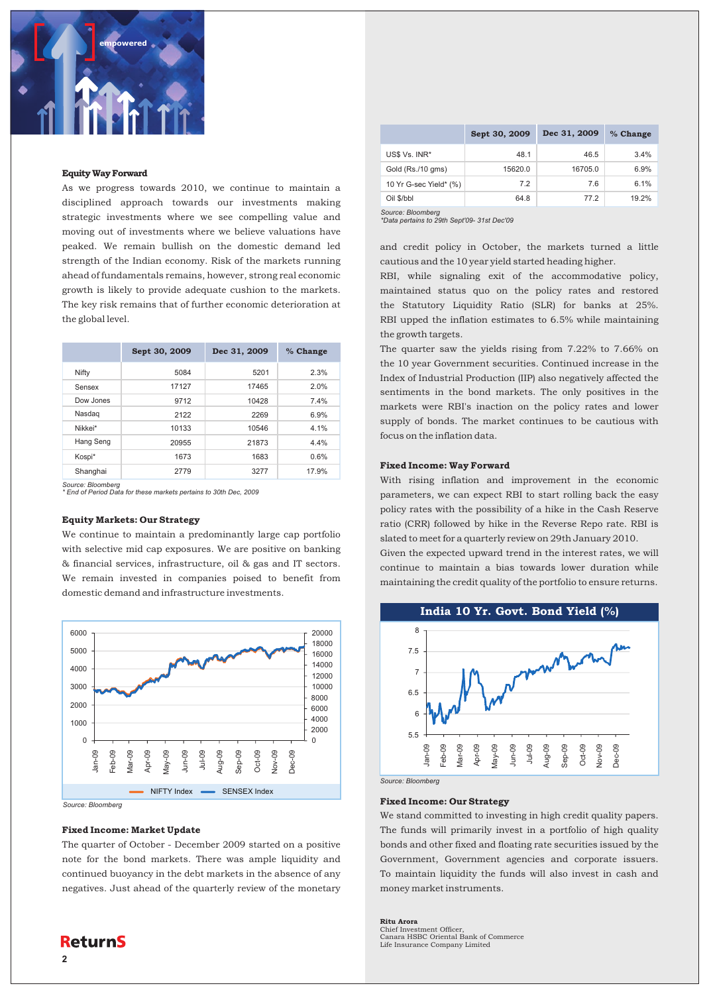

### Equity Way Forward

As we progress towards 2010, we continue to maintain a disciplined approach towards our investments making strategic investments where we see compelling value and moving out of investments where we believe valuations have peaked. We remain bullish on the domestic demand led strength of the Indian economy. Risk of the markets running ahead of fundamentals remains, however, strong real economic growth is likely to provide adequate cushion to the markets. The key risk remains that of further economic deterioration at the global level.

|           | Sept 30, 2009 | Dec 31, 2009 | % Change |
|-----------|---------------|--------------|----------|
| Nifty     | 5084          | 5201         | 2.3%     |
| Sensex    | 17127         | 17465        | 2.0%     |
| Dow Jones | 9712          | 10428        | 7.4%     |
| Nasdag    | 2122          | 2269         | 6.9%     |
| Nikkei*   | 10133         | 10546        | 4.1%     |
| Hang Seng | 20955         | 21873        | 4.4%     |
| Kospi*    | 1673          | 1683         | 0.6%     |
| Shanghai  | 2779          | 3277         | 17.9%    |

*Source: Bloomberg \* End of Period Data for these markets pertains to 30th Dec, 2009*

### Equity Markets: Our Strategy

We continue to maintain a predominantly large cap portfolio with selective mid cap exposures. We are positive on banking & financial services, infrastructure, oil & gas and IT sectors. We remain invested in companies poised to benefit from domestic demand and infrastructure investments.



### Fixed Income: Market Update

The quarter of October - December 2009 started on a positive note for the bond markets. There was ample liquidity and continued buoyancy in the debt markets in the absence of any negatives. Just ahead of the quarterly review of the monetary

|                        | Sept 30, 2009 | Dec 31, 2009 | % Change |
|------------------------|---------------|--------------|----------|
| US\$ Vs. INR*          | 48.1          | 46.5         | 3.4%     |
| Gold (Rs./10 gms)      | 15620.0       | 16705.0      | 6.9%     |
| 10 Yr G-sec Yield* (%) | 7.2           | 7.6          | 6.1%     |
| Oil \$/bbl             | 64.8          | 77.2         | 19.2%    |

*Source: Bloomberg \*Data pertains to 29th Sept'09- 31st Dec'09*

and credit policy in October, the markets turned a little cautious and the 10 year yield started heading higher.

RBI, while signaling exit of the accommodative policy, maintained status quo on the policy rates and restored the Statutory Liquidity Ratio (SLR) for banks at 25%. RBI upped the inflation estimates to 6.5% while maintaining the growth targets.

The quarter saw the yields rising from 7.22% to 7.66% on the 10 year Government securities. Continued increase in the Index of Industrial Production (IIP) also negatively affected the sentiments in the bond markets. The only positives in the markets were RBI's inaction on the policy rates and lower supply of bonds. The market continues to be cautious with focus on the inflation data.

### Fixed Income: Way Forward

With rising inflation and improvement in the economic parameters, we can expect RBI to start rolling back the easy policy rates with the possibility of a hike in the Cash Reserve ratio (CRR) followed by hike in the Reverse Repo rate. RBI is slated to meet for a quarterly review on 29th January 2010.

Given the expected upward trend in the interest rates, we will continue to maintain a bias towards lower duration while maintaining the credit quality of the portfolio to ensure returns.



#### Fixed Income: Our Strategy

We stand committed to investing in high credit quality papers. The funds will primarily invest in a portfolio of high quality bonds and other fixed and floating rate securities issued by the Government, Government agencies and corporate issuers. To maintain liquidity the funds will also invest in cash and money market instruments.

Ritu Arora Chief Investment Officer, Canara HSBC Oriental Bank of Commerce Life Insurance Company Limited

### **2**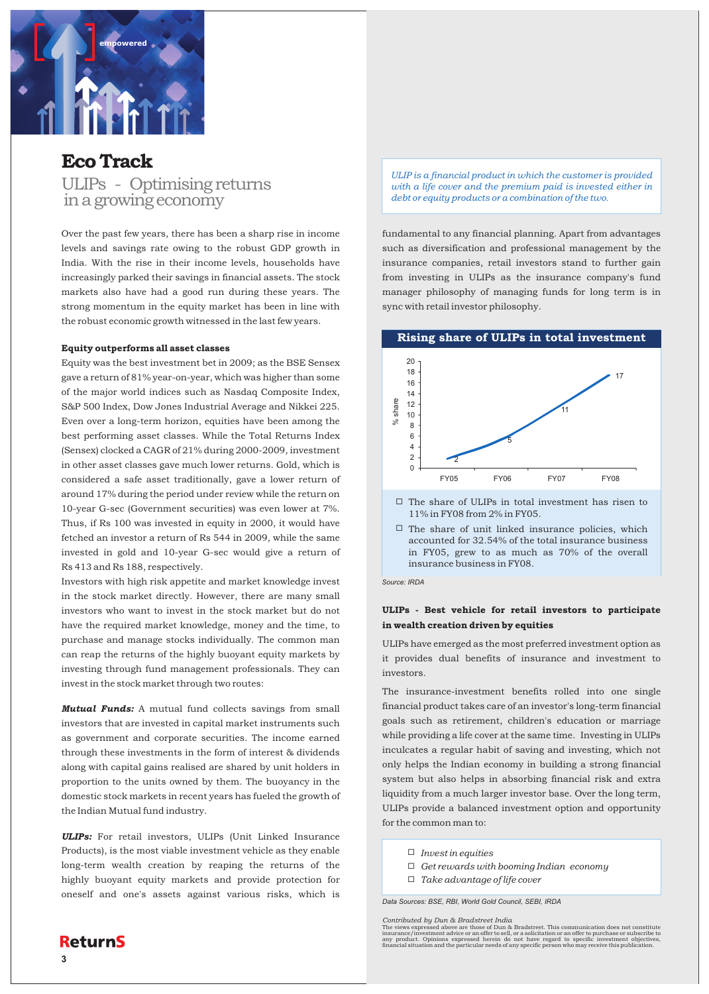

### Eco Track

ULIPs - Optimising returns in a growing economy

Over the past few years, there has been a sharp rise in income levels and savings rate owing to the robust GDP growth in India. With the rise in their income levels, households have increasingly parked their savings in financial assets. The stock markets also have had a good run during these years. The strong momentum in the equity market has been in line with the robust economic growth witnessed in the last few years.

### Equity outperforms all asset classes

Equity was the best investment bet in 2009; as the BSE Sensex gave a return of 81% year-on-year, which was higher than some of the major world indices such as Nasdaq Composite Index, S&P 500 Index, Dow Jones Industrial Average and Nikkei 225. Even over a long-term horizon, equities have been among the best performing asset classes. While the Total Returns Index (Sensex) clocked a CAGR of 21% during 2000-2009, investment in other asset classes gave much lower returns. Gold, which is considered a safe asset traditionally, gave a lower return of around 17% during the period under review while the return on 10-year G-sec (Government securities) was even lower at 7%. Thus, if Rs 100 was invested in equity in 2000, it would have fetched an investor a return of Rs 544 in 2009, while the same invested in gold and 10-year G-sec would give a return of Rs 413 and Rs 188, respectively.

Investors with high risk appetite and market knowledge invest in the stock market directly. However, there are many small investors who want to invest in the stock market but do not have the required market knowledge, money and the time, to purchase and manage stocks individually. The common man can reap the returns of the highly buoyant equity markets by investing through fund management professionals. They can invest in the stock market through two routes:

*Mutual Funds:* A mutual fund collects savings from small investors that are invested in capital market instruments such as government and corporate securities. The income earned through these investments in the form of interest & dividends along with capital gains realised are shared by unit holders in proportion to the units owned by them. The buoyancy in the domestic stock markets in recent years has fueled the growth of the Indian Mutual fund industry.

*ULIPs:* For retail investors, ULIPs (Unit Linked Insurance Products), is the most viable investment vehicle as they enable long-term wealth creation by reaping the returns of the highly buoyant equity markets and provide protection for oneself and one's assets against various risks, which is

*ULIP is a financial product in which the customer is provided with a life cover and the premium paid is invested either in debt or equity products or a combination of the two.*

fundamental to any financial planning. Apart from advantages such as diversification and professional management by the insurance companies, retail investors stand to further gain from investing in ULIPs as the insurance company's fund manager philosophy of managing funds for long term is in sync with retail investor philosophy.



- $\Box$  The share of ULIPs in total investment has risen to 11% in FY08 from 2% in FY05.
- $\Box$  The share of unit linked insurance policies, which accounted for 32.54% of the total insurance business in FY05, grew to as much as 70% of the overall insurance business in FY08.

*Source: IRDA*

### ULIPs - Best vehicle for retail investors to participate in wealth creation driven by equities

ULIPs have emerged as the most preferred investment option as it provides dual benefits of insurance and investment to investors.

The insurance-investment benefits rolled into one single financial product takes care of an investor's long-term financial goals such as retirement, children's education or marriage while providing a life cover at the same time. Investing in ULIPs inculcates a regular habit of saving and investing, which not only helps the Indian economy in building a strong financial system but also helps in absorbing financial risk and extra liquidity from a much larger investor base. Over the long term, ULIPs provide a balanced investment option and opportunity for the common man to:

- ¨ *Invest in equities*
- ¨ *Get rewards with booming Indian economy*
- ¨ *Take advantage of life cover*

*Data Sources: BSE, RBI, World Gold Council, SEBI, IRDA*

The views expressed above are those of Dun & Bradstreet. This communication does not constitute<br>insurance/investment advice or an offer to sell, or a solicitation or an offer to purchase or subscribe to<br>any product. Opinio

**3**

*Contributed by Dun & Bradstreet India*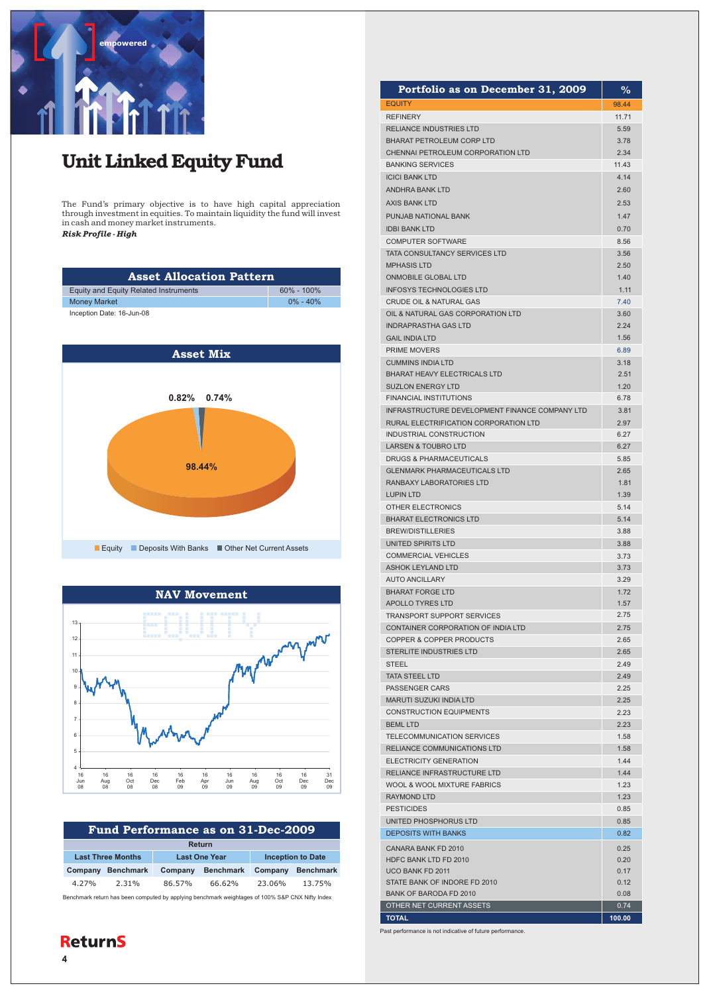

# Unit Linked Equity Fund

The Fund's primary objective is to have high capital appreciation through investment in equities. To maintain liquidity the fund will invest in cash and money market instruments.

*Risk Profile - High*

| <b>Asset Allocation Pattern</b>       |                |  |  |
|---------------------------------------|----------------|--|--|
| Equity and Equity Related Instruments | $60\% - 100\%$ |  |  |
| <b>Money Market</b>                   | $0\% - 40\%$   |  |  |
| Inception Date: 16-Jun-08             |                |  |  |





|                          | Fund Performance as on 31-Dec-2009 |                  |         |                                                                                                 |         |                  |
|--------------------------|------------------------------------|------------------|---------|-------------------------------------------------------------------------------------------------|---------|------------------|
|                          | Return                             |                  |         |                                                                                                 |         |                  |
| <b>Last Three Months</b> |                                    |                  |         | <b>Inception to Date</b><br><b>Last One Year</b>                                                |         |                  |
|                          | Company                            | <b>Benchmark</b> | Company | <b>Benchmark</b>                                                                                | Company | <b>Benchmark</b> |
|                          | 4.27%                              | 2.31%            | 86.57%  | 66.62%                                                                                          | 23.06%  | 13.75%           |
|                          |                                    |                  |         | Benchmark return has been computed by applying benchmark weightages of 100% S&P CNX Nifty Index |         |                  |

| Portfolio as on December 31, 2009                             | %            |
|---------------------------------------------------------------|--------------|
| <b>EQUITY</b>                                                 | 98.44        |
| <b>REFINERY</b>                                               | 11.71        |
| RELIANCE INDUSTRIES LTD                                       | 5.59         |
| <b>BHARAT PETROLEUM CORP LTD</b>                              | 3.78         |
| <b>CHENNAI PETROLEUM CORPORATION LTD</b>                      | 2.34         |
| <b>BANKING SERVICES</b>                                       | 11.43        |
| <b>ICICI BANK LTD</b>                                         | 4.14         |
| <b>ANDHRA BANK LTD</b>                                        | 2.60         |
| <b>AXIS BANK LTD</b>                                          | 2.53         |
| PUNJAB NATIONAL BANK                                          | 1.47         |
| <b>IDBI BANK LTD</b>                                          | 0.70         |
| <b>COMPUTER SOFTWARE</b>                                      | 8.56         |
| TATA CONSULTANCY SERVICES LTD<br><b>MPHASIS LTD</b>           | 3.56<br>2.50 |
| <b>ONMOBILE GLOBAL LTD</b>                                    | 1.40         |
| <b>INFOSYS TECHNOLOGIES LTD</b>                               | 1.11         |
| <b>CRUDE OIL &amp; NATURAL GAS</b>                            | 7.40         |
| OIL & NATURAL GAS CORPORATION LTD                             | 3.60         |
| <b>INDRAPRASTHA GAS LTD</b>                                   | 2.24         |
| <b>GAIL INDIA LTD</b>                                         | 1.56         |
| <b>PRIME MOVERS</b>                                           | 6.89         |
| <b>CUMMINS INDIA LTD</b>                                      | 3.18         |
| <b>BHARAT HEAVY ELECTRICALS LTD</b>                           | 2.51         |
| <b>SUZLON ENERGY LTD</b>                                      | 1.20         |
| <b>FINANCIAL INSTITUTIONS</b>                                 | 6.78         |
| INFRASTRUCTURE DEVELOPMENT FINANCE COMPANY LTD                | 3.81         |
| RURAL ELECTRIFICATION CORPORATION LTD                         | 2.97         |
| INDUSTRIAL CONSTRUCTION                                       | 6.27         |
| <b>LARSEN &amp; TOUBRO LTD</b>                                | 6.27         |
| <b>DRUGS &amp; PHARMACEUTICALS</b>                            | 5.85         |
| <b>GLENMARK PHARMACEUTICALS LTD</b>                           | 2.65         |
| <b>RANBAXY LABORATORIES LTD</b>                               | 1.81         |
| <b>LUPIN LTD</b><br>OTHER ELECTRONICS                         | 1.39<br>5.14 |
| <b>BHARAT ELECTRONICS LTD</b>                                 | 5.14         |
| <b>BREW/DISTILLERIES</b>                                      | 3.88         |
| UNITED SPIRITS LTD                                            | 3.88         |
| <b>COMMERCIAL VEHICLES</b>                                    | 3.73         |
| ASHOK LEYLAND LTD                                             | 3.73         |
| <b>AUTO ANCILLARY</b>                                         | 3.29         |
| <b>BHARAT FORGE LTD</b>                                       | 1.72         |
| <b>APOLLO TYRES LTD</b>                                       | 1.57         |
| <b>TRANSPORT SUPPORT SERVICES</b>                             | 2.75         |
| CONTAINER CORPORATION OF INDIA LTD                            | 2.75         |
| <b>COPPER &amp; COPPER PRODUCTS</b>                           | 2.65         |
| <b>STERLITE INDUSTRIES LTD</b>                                | 2.65         |
| STEEL                                                         | 2.49         |
| <b>TATA STEEL LTD</b>                                         | 2.49         |
| PASSENGER CARS<br><b>MARUTI SUZUKI INDIA LTD</b>              | 2.25<br>2.25 |
| <b>CONSTRUCTION EQUIPMENTS</b>                                | 2.23         |
| <b>BEML LTD</b>                                               | 2.23         |
| TELECOMMUNICATION SERVICES                                    | 1.58         |
| RELIANCE COMMUNICATIONS LTD                                   | 1.58         |
| <b>ELECTRICITY GENERATION</b>                                 | 1.44         |
| RELIANCE INFRASTRUCTURE LTD                                   | 1.44         |
| <b>WOOL &amp; WOOL MIXTURE FABRICS</b>                        | 1.23         |
| RAYMOND LTD                                                   | 1.23         |
| <b>PESTICIDES</b>                                             | 0.85         |
| UNITED PHOSPHORUS LTD                                         | 0.85         |
| <b>DEPOSITS WITH BANKS</b>                                    | 0.82         |
| CANARA BANK FD 2010                                           | 0.25         |
| <b>HDFC BANK LTD FD 2010</b>                                  | 0.20         |
| UCO BANK FD 2011                                              | 0.17         |
| STATE BANK OF INDORE FD 2010<br><b>BANK OF BARODA FD 2010</b> | 0.12<br>0.08 |
| OTHER NET CURRENT ASSETS                                      | 0.74         |
| <b>TOTAL</b>                                                  | 100.00       |

Past performance is not indicative of future performance.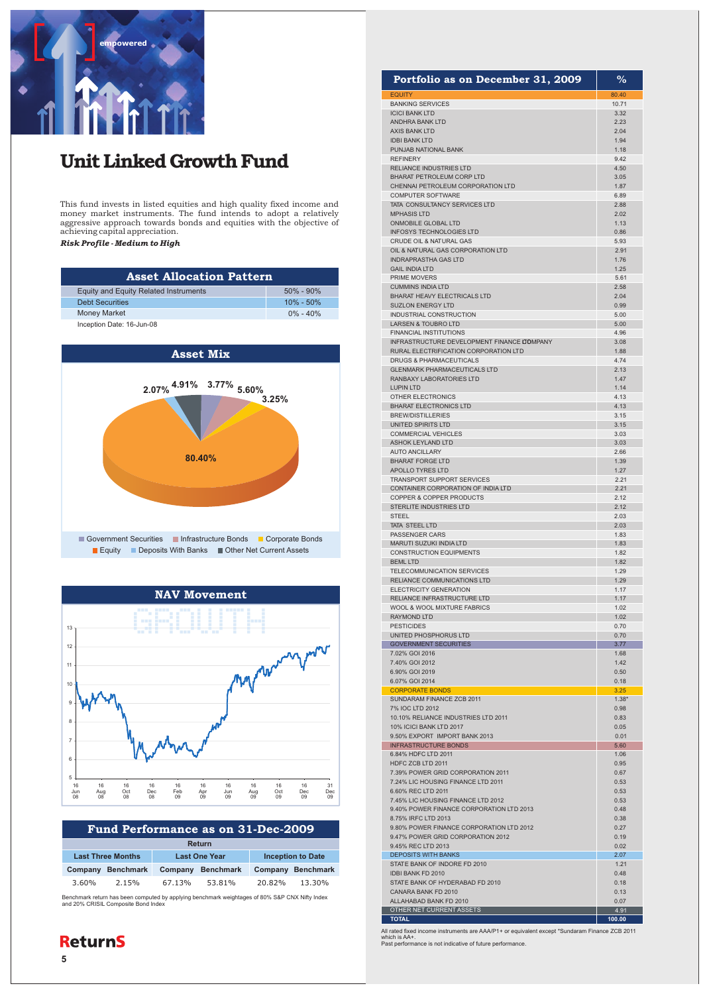

# Unit Linked Growth Fund

This fund invests in listed equities and high quality fixed income and money market instruments. The fund intends to adopt a relatively aggressive approach towards bonds and equities with the objective of achieving capital appreciation.

*Risk Profile - Medium to High*

| <b>Asset Allocation Pattern</b>              |               |
|----------------------------------------------|---------------|
| <b>Equity and Equity Related Instruments</b> | $50\% - 90\%$ |
| <b>Debt Securities</b>                       | $10\% - 50\%$ |
| <b>Money Market</b>                          | $0\% - 40\%$  |
| Inception Date: 16-Jun-08                    |               |





|                          | Fund Performance as on 31-Dec-2009 |                      |        |                          |        |                   |
|--------------------------|------------------------------------|----------------------|--------|--------------------------|--------|-------------------|
|                          | Return                             |                      |        |                          |        |                   |
| <b>Last Three Months</b> |                                    | <b>Last One Year</b> |        | <b>Inception to Date</b> |        |                   |
|                          | Company                            | <b>Benchmark</b>     |        | Company Benchmark        |        | Company Benchmark |
|                          | 3.60%                              | 2.15%                | 67.13% | 53.81%                   | 20.82% | 13.30%            |
|                          |                                    |                      |        |                          |        |                   |

Benchmark return has been computed by applying benchmark weightages of 80% S&P CNX Nifty Index and 20% CRISIL Composite Bond Index

| <b>ReturnS</b> |  |
|----------------|--|
|----------------|--|

| Portfolio as on December 31, 2009                              | ℅               |
|----------------------------------------------------------------|-----------------|
| <b>EQUITY</b>                                                  | 80.40           |
| <b>BANKING SERVICES</b>                                        | 10.71           |
| <b>ICICI BANK LTD</b><br><b>ANDHRA BANK LTD</b>                | 3.32<br>2.23    |
| <b>AXIS BANK LTD</b>                                           | 2.04            |
| <b>IDBI BANK LTD</b>                                           | 1.94            |
| PUNJAB NATIONAL BANK<br><b>REFINERY</b>                        | 1.18<br>9.42    |
| RELIANCE INDUSTRIES LTD                                        | 4.50            |
| BHARAT PETROLEUM CORP LTD                                      | 3.05            |
| CHENNAI PETROLEUM CORPORATION LTD                              | 1.87            |
| <b>COMPUTER SOFTWARE</b><br>TATA CONSULTANCY SERVICES LTD      | 6.89<br>2.88    |
| <b>MPHASIS LTD</b>                                             | 2.02            |
| ONMOBILE GLOBAL LTD                                            | 1.13            |
| <b>INFOSYS TECHNOLOGIES LTD</b><br>CRUDE OIL & NATURAL GAS     | 0.86<br>5.93    |
| OIL & NATURAL GAS CORPORATION LTD                              | 2.91            |
| <b>INDRAPRASTHA GAS LTD</b>                                    | 1.76            |
| <b>GAIL INDIA LTD</b>                                          | 1.25            |
| PRIME MOVERS<br><b>CUMMINS INDIA LTD</b>                       | 5.61<br>2.58    |
| <b>BHARAT HEAVY ELECTRICALS LTD</b>                            | 2.04            |
| <b>SUZLON ENERGY LTD</b>                                       | 0.99            |
| INDUSTRIAL CONSTRUCTION                                        | 5.00            |
| LARSEN & TOUBRO LTD<br><b>FINANCIAL INSTITUTIONS</b>           | 5.00<br>4.96    |
| INFRASTRUCTURE DEVELOPMENT FINANCE COMPANY                     | 3.08            |
| RURAL ELECTRIFICATION CORPORATION LTD                          | 1.88            |
| DRUGS & PHARMACEUTICALS<br><b>GLENMARK PHARMACEUTICALS LTD</b> | 4.74<br>2.13    |
| RANBAXY LABORATORIES LTD                                       | 1.47            |
| <b>LUPIN LTD</b>                                               | 1.14            |
| <b>OTHER ELECTRONICS</b>                                       | 4.13            |
| <b>BHARAT ELECTRONICS LTD</b><br><b>BREW/DISTILLERIES</b>      | 4.13<br>3.15    |
| UNITED SPIRITS LTD                                             | 3.15            |
| <b>COMMERCIAL VEHICLES</b>                                     | 3.03            |
| <b>ASHOK LEYLAND LTD</b>                                       | 3.03            |
| <b>AUTO ANCILLARY</b><br><b>BHARAT FORGE LTD</b>               | 2.66<br>1.39    |
| APOLLO TYRES LTD                                               | 1.27            |
| TRANSPORT SUPPORT SERVICES                                     | 2.21            |
| CONTAINER CORPORATION OF INDIA LTD<br>COPPER & COPPER PRODUCTS | 2.21<br>2.12    |
| STERLITE INDUSTRIES LTD                                        | 2.12            |
| STEEL                                                          | 2.03            |
| TATA STEEL LTD                                                 | 2.03            |
| <b>PASSENGER CARS</b><br>MARUTI SUZUKI INDIA LTD               | 1.83<br>1.83    |
| <b>CONSTRUCTION EQUIPMENTS</b>                                 | 1.82            |
| <b>BEML LTD</b>                                                | 1.82            |
| TELECOMMUNICATION SERVICES<br>RELIANCE COMMUNICATIONS LTD      | 1.29<br>1.29    |
| <b>ELECTRICITY GENERATION</b>                                  | 1.17            |
| RELIANCE INFRASTRUCTURE LTD                                    | 1.17            |
| WOOL & WOOL MIXTURE FABRICS                                    | 1.02            |
| RAYMOND LTD<br><b>PESTICIDES</b>                               | 1.02<br>0.70    |
| UNITED PHOSPHORUS LTD                                          | 0.70            |
| <b>GOVERNMENT SECURITIES</b>                                   | 3.77            |
| 7.02% GOI 2016                                                 | 1.68            |
| 7.40% GOI 2012<br>6.90% GOI 2019                               | 1.42<br>0.50    |
| 6.07% GOI 2014                                                 | 0.18            |
| <b>CORPORATE BONDS</b>                                         | 3.25            |
| SUNDARAM FINANCE ZCB 2011<br>7% IOC LTD 2012                   | $1.38*$<br>0.98 |
| 10.10% RELIANCE INDUSTRIES LTD 2011                            | 0.83            |
| 10% ICICI BANK LTD 2017                                        | 0.05            |
| 9.50% EXPORT IMPORT BANK 2013                                  | 0.01            |
| <b>INFRASTRUCTURE BONDS</b><br>6.84% HDFC LTD 2011             | 5.60<br>1.06    |
| HDFC ZCB LTD 2011                                              | 0.95            |
| 7.39% POWER GRID CORPORATION 2011                              | 0.67            |
| 7.24% LIC HOUSING FINANCE LTD 2011                             | 0.53            |
| 6.60% REC LTD 2011<br>7.45% LIC HOUSING FINANCE LTD 2012       | 0.53<br>0.53    |
| 9.40% POWER FINANCE CORPORATION LTD 2013                       | 0.48            |
| 8.75% IRFC LTD 2013                                            | 0.38            |
| 9.80% POWER FINANCE CORPORATION LTD 2012                       | 0.27            |
| 9.47% POWER GRID CORPORATION 2012<br>9.45% REC LTD 2013        | 0.19<br>0.02    |
| <b>DEPOSITS WITH BANKS</b>                                     | 2.07            |
| STATE BANK OF INDORE FD 2010                                   | 1.21            |
| IDBI BANK FD 2010<br>STATE BANK OF HYDERABAD FD 2010           | 0.48<br>0.18    |
| CANARA BANK FD 2010                                            | 0.13            |
| ALLAHABAD BANK FD 2010                                         | 0.07            |
| OTHER NET CURRENT ASSETS<br><b>TOTAL</b>                       | 4.91<br>100.00  |

All rated fixed income instruments are AAA/P1+ or equivalent except \*Sundaram Finance ZCB 2011 which is AA+. Past performance is not indicative of future performance.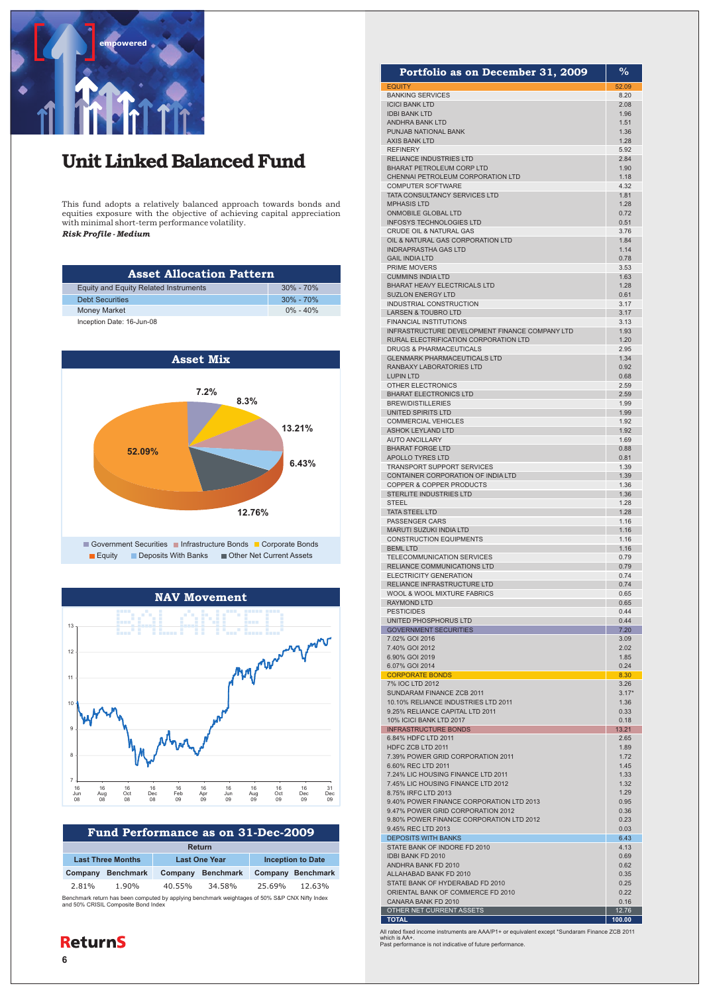

### Unit Linked Balanced Fund

This fund adopts a relatively balanced approach towards bonds and equities exposure with the objective of achieving capital appreciation with minimal short-term performance volatility.

*Risk Profile - Medium*

| <b>Asset Allocation Pattern</b>              |               |
|----------------------------------------------|---------------|
| <b>Equity and Equity Related Instruments</b> | $30\% - 70\%$ |
| <b>Debt Securities</b>                       | $30\% - 70\%$ |
| <b>Money Market</b>                          | $0\% - 40\%$  |
| Inception Date: 16-Jun-08                    |               |





| Fund Performance as on 31-Dec-2009                                                                                                    |                          |         |                      |        |                          |
|---------------------------------------------------------------------------------------------------------------------------------------|--------------------------|---------|----------------------|--------|--------------------------|
| <b>Return</b>                                                                                                                         |                          |         |                      |        |                          |
|                                                                                                                                       | <b>Last Three Months</b> |         | <b>Last One Year</b> |        | <b>Inception to Date</b> |
| Company                                                                                                                               | <b>Benchmark</b>         | Company | <b>Benchmark</b>     |        | Company Benchmark        |
| 2.81%                                                                                                                                 | 1.90%                    | 40.55%  | 34.58%               | 25.69% | 12.63%                   |
| Benchmark return has been computed by applying benchmark weightages of 50% S&P CNX Nifty Index<br>and 50% CRISIL Composite Bond Index |                          |         |                      |        |                          |

#### 52.09 8.20 2.08 1.96 1.51 1.36 1.28 5.92 2.84 1.90 1.18 4.32 1.81 1.28 0.72 0.51 3.76 1.84 1.14 0.78 3.53 1.63 1.28 0.61 3.17 3.17 3.13 1.93 1.20 2.95 1.34 0.92 0.68 2.59 2.59 1.99 1.99 1.92 1.92 1.69 0.88 0.81 1.39 1.39 1.36 1.36 1.28 1.28 1.16 1.16 1.16 1.16 0.79 0.79 0.74 0.74 0.65 0.65 0.44 0.44 7.20 3.09 2.02 1.85 0.24 8.30 3.26 3.17\* 1.36 0.33 0.18 13.21 2.65 1.89 1.72 1.45 1.33 1.32 1.29 0.95 0.36 0.23 0.03 6.43 4.13 0.69 0.62 0.35 0.25 0.22 0.16  $12.76$ Portfolio as on December 31, 2009 EQUITY BANKING SERVICES ICICI BANK LTD IDBI BANK LTD ANDHRA BANK LTD PUNJAB NATIONAL BANK AXIS BANK LTD REFINERY RELIANCE INDUSTRIES LTD BHARAT PETROLEUM CORP LTD CHENNAI PETROLEUM CORPORATION LTD COMPUTER SOFTWARE TATA CONSULTANCY SERVICES LTD MPHASIS LTD ONMOBILE GLOBAL LTD INFOSYS TECHNOLOGIES LTD CRUDE OIL & NATURAL GAS OIL & NATURAL GAS CORPORATION LTD INDRAPRASTHA GAS LTD GAIL INDIA LTD PRIME MOVERS CUMMINS INDIA LTD BHARAT HEAVY ELECTRICALS LTD SUZLON ENERGY LTD INDUSTRIAL CONSTRUCTION LARSEN & TOUBRO LTD FINANCIAL INSTITUTIONS INFRASTRUCTURE DEVELOPMENT FINANCE COMPANY LTD RURAL ELECTRIFICATION CORPORATION LTD DRUGS & PHARMACEUTICALS **GLENMARK PHARMACEUTICALS LTD** RANBAXY LABORATORIES LTD LUPIN LTD OTHER ELECTRONICS BHARAT ELECTRONICS LTD BREW/DISTILLERIES UNITED SPIRITS LTD COMMERCIAL VEHICLES ASHOK LEYLAND LTD AUTO ANCILLARY BHARAT FORGE LTD APOLLO TYRES LTD TRANSPORT SUPPORT SERVICES CONTAINER CORPORATION OF INDIA LTD COPPER & COPPER PRODUCTS STERLITE INDUSTRIES LTD **STEEL** TATA STEEL LTD PASSENGER CARS MARUTI SUZUKI INDIA LTD CONSTRUCTION EQUIPMENTS BEML LTD TELECOMMUNICATION SERVICES RELIANCE COMMUNICATIONS LTD ELECTRICITY GENERATION RELIANCE INFRASTRUCTURE LTD WOOL & WOOL MIXTURE FABRICS RAYMOND LTD PESTICIDES UNITED PHOSPHORUS LTD GOVERNMENT SECURITIES 7.02% GOI 2016 7.40% GOI 2012 6.90% GOI 2019 6.07% GOI 2014 CORPORATE BONDS 7% IOC LTD 2012 SUNDARAM FINANCE ZCB 2011 10.10% RELIANCE INDUSTRIES LTD 2011 9.25% RELIANCE CAPITAL LTD 2011 10% ICICI BANK LTD 2017 INFRASTRUCTURE BONDS 6.84% HDFC LTD 2011 HDFC ZCB LTD 2011 7.39% POWER GRID CORPORATION 2011 6.60% REC LTD 2011 7.24% LIC HOUSING FINANCE LTD 2011 7.45% LIC HOUSING FINANCE LTD 2012 8.75% IRFC LTD 2013 9.40% POWER FINANCE CORPORATION LTD 2013 9.47% POWER GRID CORPORATION 2012 9.80% POWER FINANCE CORPORATION LTD 2012 9.45% REC LTD 2013 DEPOSITS WITH BANKS STATE BANK OF INDORE FD 2010 IDBI BANK FD 2010 ANDHRA BANK FD 2010 ALLAHABAD BANK FD 2010 STATE BANK OF HYDERABAD FD 2010 ORIENTAL BANK OF COMMERCE FD 2010 CANARA BANK FD 2010 OTHER NET CURRENT ASSETS

%

All rated fixed income instruments are AAA/P1+ or equivalent except \*Sundaram Finance ZCB 2011 which is AA+. Past performance is not indicative of future performance.

 **100.00** 

**TOTAL**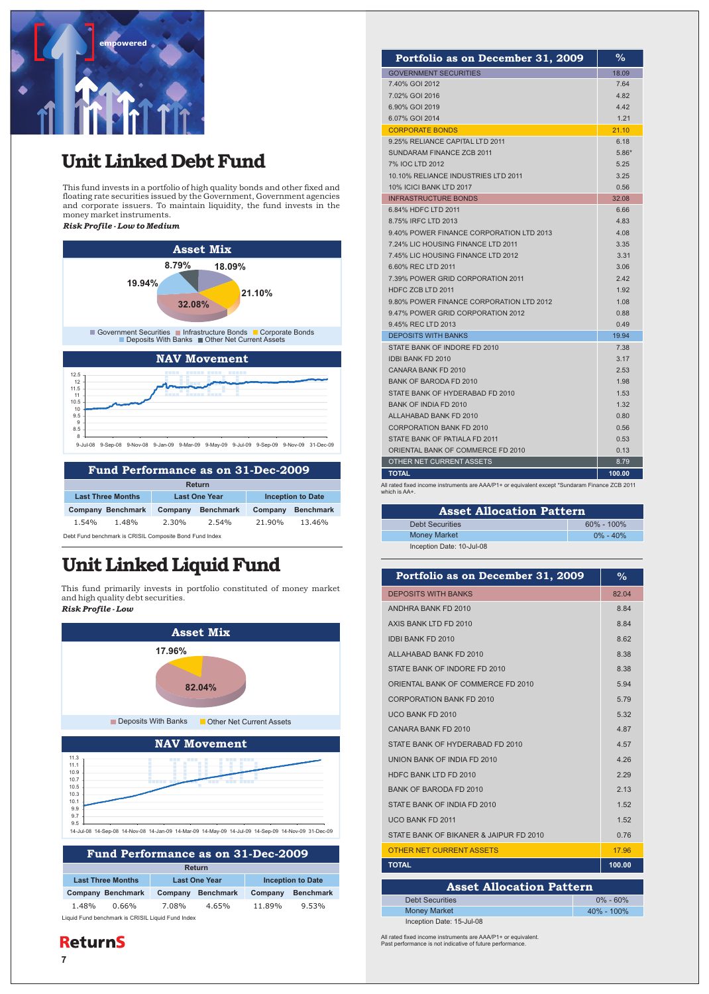

8

## Unit Linked Debt Fund

This fund invests in a portfolio of high quality bonds and other fixed and floating rate securities issued by the Government, Government agencies and corporate issuers. To maintain liquidity, the fund invests in the money market instruments. *Risk Profile - Low to Medium*



| Fund Performance as on 31-Dec-2009                      |                          |                      |                  |                          |                  |  |
|---------------------------------------------------------|--------------------------|----------------------|------------------|--------------------------|------------------|--|
|                                                         |                          |                      |                  |                          |                  |  |
|                                                         | Return                   |                      |                  |                          |                  |  |
| <b>Last Three Months</b>                                |                          | <b>Last One Year</b> |                  | <b>Inception to Date</b> |                  |  |
|                                                         | <b>Company Benchmark</b> | Company              | <b>Benchmark</b> | Company                  | <b>Benchmark</b> |  |
| 1.54%                                                   | 1.48%                    | 2.30%                | 2.54%            | 21.90%                   | 13.46%           |  |
| Debt Fund benchmark is CRISIL Composite Bond Fund Index |                          |                      |                  |                          |                  |  |

9-Jul-08 9-Sep-08 9-Nov-08 9-Jan-09 9-Mar-09 9-May-09 9-Jul-09 9-Sep-09 9-Nov-09 31-Dec-09

# Unit Linked Liquid Fund

This fund primarily invests in portfolio constituted of money market and high quality debt securities. *Risk Profile - Low*



| Fund Performance as on 31-Dec-2009                |                          |                      |                  |                          |                  |  |  |
|---------------------------------------------------|--------------------------|----------------------|------------------|--------------------------|------------------|--|--|
| Return                                            |                          |                      |                  |                          |                  |  |  |
| <b>Last Three Months</b>                          |                          | <b>Last One Year</b> |                  | <b>Inception to Date</b> |                  |  |  |
|                                                   | <b>Company Benchmark</b> | Company              | <b>Benchmark</b> | Company                  | <b>Benchmark</b> |  |  |
| 1.48%                                             | 0.66%                    | 7.08%                | 4.65%            | 11.89%                   | 9.53%            |  |  |
| Liquid Fund benchmark is CRISIL Liquid Fund Index |                          |                      |                  |                          |                  |  |  |

### **ReturnS**

| Portfolio as on December 31, 2009        | $\%$    |
|------------------------------------------|---------|
| <b>GOVERNMENT SECURITIES</b>             | 18.09   |
| 7.40% GOI 2012                           | 7.64    |
| 7.02% GOI 2016                           | 4.82    |
| 6.90% GOI 2019                           | 4.42    |
| 6.07% GOI 2014                           | 1.21    |
| <b>CORPORATE BONDS</b>                   | 21.10   |
| 9.25% RELIANCE CAPITAL LTD 2011          | 6.18    |
| SUNDARAM FINANCE ZCB 2011                | $5.86*$ |
| 7% IOC LTD 2012                          | 5.25    |
| 10.10% RELIANCE INDUSTRIES LTD 2011      | 3.25    |
| <b>10% ICICI BANK LTD 2017</b>           | 0.56    |
| <b>INFRASTRUCTURE BONDS</b>              | 32.08   |
| 6.84% HDFC LTD 2011                      | 6.66    |
| 8.75% IRFC LTD 2013                      | 4.83    |
| 9.40% POWER FINANCE CORPORATION LTD 2013 | 4.08    |
| 7.24% LIC HOUSING FINANCE LTD 2011       | 3.35    |
| 7.45% LIC HOUSING FINANCE LTD 2012       | 3.31    |
| 6.60% REC LTD 2011                       | 3.06    |
| 7.39% POWER GRID CORPORATION 2011        | 2.42    |
| HDFC ZCB LTD 2011                        | 1.92    |
| 9.80% POWER FINANCE CORPORATION LTD 2012 | 1.08    |
| 9.47% POWER GRID CORPORATION 2012        | 0.88    |
| 9.45% REC LTD 2013                       | 0.49    |
| <b>DEPOSITS WITH BANKS</b>               | 19.94   |
| STATE BANK OF INDORE FD 2010             | 7.38    |
| <b>IDBI BANK FD 2010</b>                 | 3.17    |
| CANARA BANK FD 2010                      | 2.53    |
| <b>BANK OF BARODA FD 2010</b>            | 1.98    |
| STATE BANK OF HYDERABAD FD 2010          | 1.53    |
| BANK OF INDIA FD 2010                    | 1.32    |
| ALLAHABAD BANK FD 2010                   | 0.80    |
| <b>CORPORATION BANK FD 2010</b>          | 0.56    |
| STATE BANK OF PATIALA FD 2011            | 0.53    |
| ORIENTAL BANK OF COMMERCE FD 2010        | 0.13    |
| OTHER NET CURRENT ASSETS                 | 8.79    |
| <b>TOTAL</b>                             | 100.00  |

All rated fixed income instruments are AAA/P1+ or equivalent except \*Sundaram Finance ZCB 2011 which is AA+.

| <b>Asset Allocation Pattern</b> |                |  |  |  |
|---------------------------------|----------------|--|--|--|
| <b>Debt Securities</b>          | $60\% - 100\%$ |  |  |  |
| <b>Money Market</b>             | $0\% - 40\%$   |  |  |  |
| Inception Date: 10-Jul-08       |                |  |  |  |

| Portfolio as on December 31, 2009      | $\frac{0}{2}$ |  |  |  |
|----------------------------------------|---------------|--|--|--|
| <b>DEPOSITS WITH BANKS</b>             | 82.04         |  |  |  |
| ANDHRA BANK FD 2010                    | 8.84          |  |  |  |
| AXIS BANK ITD FD 2010                  | 884           |  |  |  |
| <b>IDBI BANK FD 2010</b>               | 8.62          |  |  |  |
| ALLAHARAD BANK FD 2010                 | 8.38          |  |  |  |
| STATE BANK OF INDORE FD 2010           | 8.38          |  |  |  |
| ORIENTAL BANK OF COMMERCE FD 2010      | 5.94          |  |  |  |
| CORPORATION BANK ED 2010               | 5.79          |  |  |  |
| UCO BANK FD 2010                       | 5.32          |  |  |  |
| CANARA BANK FD 2010                    | 4.87          |  |  |  |
| STATE BANK OF HYDERABAD FD 2010        | 4.57          |  |  |  |
| <b>UNION BANK OF INDIA ED 2010</b>     | 426           |  |  |  |
| HDFC BANK LTD FD 2010                  | 2.29          |  |  |  |
| <b>BANK OF BARODA FD 2010</b>          | 213           |  |  |  |
| STATE BANK OF INDIA FD 2010            | 1.52          |  |  |  |
| UCO BANK FD 2011                       | 1.52          |  |  |  |
| STATE BANK OF BIKANER & JAIPUR FD 2010 | 0.76          |  |  |  |
| <b>OTHER NET CURRENT ASSETS</b>        | 17.96         |  |  |  |
| <b>TOTAL</b>                           | 100.00        |  |  |  |
| <b>Asset Allocation Pattern</b>        |               |  |  |  |

Money Market 40% - 100% Debt Securities 0% - 60% Inception Date: 15-Jul-08

All rated fixed income instruments are AAA/P1+ or equivalent<br>Past performance is not indicative of future performance.